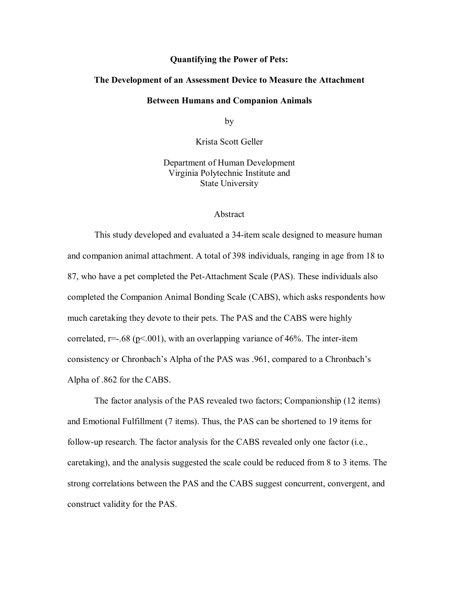#### **Quantifying the Power of Pets:**

### **The Development of an Assessment Device to Measure the Attachment**

#### **Between Humans and Companion Animals**

by

Krista Scott Geller

Department of Human Development Virginia Polytechnic Institute and State University

#### Abstract

This study developed and evaluated a 34-item scale designed to measure human and companion animal attachment. A total of 398 individuals, ranging in age from 18 to 87, who have a pet completed the Pet-Attachment Scale (PAS). These individuals also completed the Companion Animal Bonding Scale (CABS), which asks respondents how much caretaking they devote to their pets. The PAS and the CABS were highly correlated,  $r=-.68$  (p<.001), with an overlapping variance of 46%. The inter-item consistency or Chronbach's Alpha of the PAS was .961, compared to a Chronbach's Alpha of .862 for the CABS.

The factor analysis of the PAS revealed two factors; Companionship (12 items) and Emotional Fulfillment (7 items). Thus, the PAS can be shortened to 19 items for follow-up research. The factor analysis for the CABS revealed only one factor (i.e., caretaking), and the analysis suggested the scale could be reduced from 8 to 3 items. The strong correlations between the PAS and the CABS suggest concurrent, convergent, and construct validity for the PAS.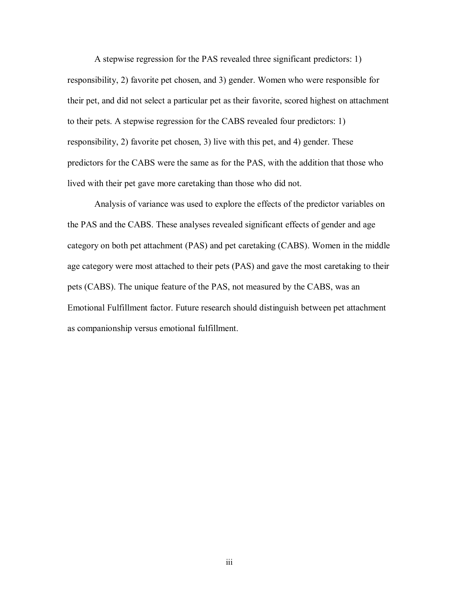A stepwise regression for the PAS revealed three significant predictors: 1) responsibility, 2) favorite pet chosen, and 3) gender. Women who were responsible for their pet, and did not select a particular pet as their favorite, scored highest on attachment to their pets. A stepwise regression for the CABS revealed four predictors: 1) responsibility, 2) favorite pet chosen, 3) live with this pet, and 4) gender. These predictors for the CABS were the same as for the PAS, with the addition that those who lived with their pet gave more caretaking than those who did not.

Analysis of variance was used to explore the effects of the predictor variables on the PAS and the CABS. These analyses revealed significant effects of gender and age category on both pet attachment (PAS) and pet caretaking (CABS). Women in the middle age category were most attached to their pets (PAS) and gave the most caretaking to their pets (CABS). The unique feature of the PAS, not measured by the CABS, was an Emotional Fulfillment factor. Future research should distinguish between pet attachment as companionship versus emotional fulfillment.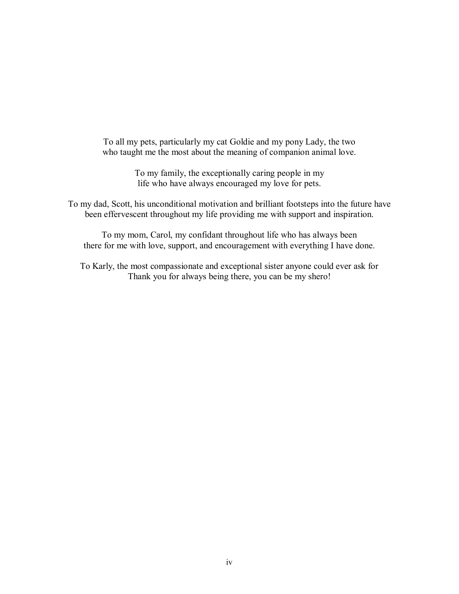To all my pets, particularly my cat Goldie and my pony Lady, the two who taught me the most about the meaning of companion animal love.

> To my family, the exceptionally caring people in my life who have always encouraged my love for pets.

To my dad, Scott, his unconditional motivation and brilliant footsteps into the future have been effervescent throughout my life providing me with support and inspiration.

To my mom, Carol, my confidant throughout life who has always been there for me with love, support, and encouragement with everything I have done.

To Karly, the most compassionate and exceptional sister anyone could ever ask for Thank you for always being there, you can be my shero!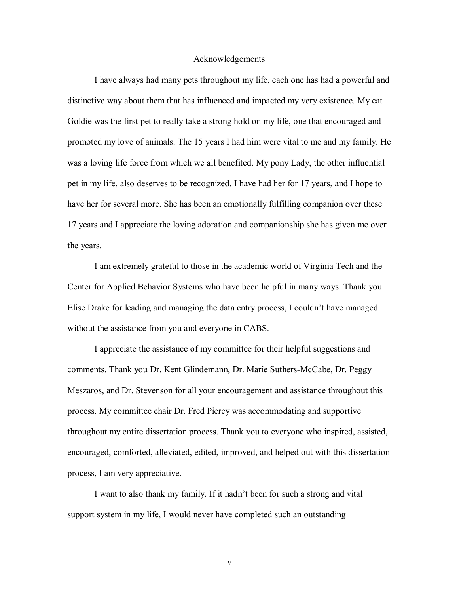#### Acknowledgements

 I have always had many pets throughout my life, each one has had a powerful and distinctive way about them that has influenced and impacted my very existence. My cat Goldie was the first pet to really take a strong hold on my life, one that encouraged and promoted my love of animals. The 15 years I had him were vital to me and my family. He was a loving life force from which we all benefited. My pony Lady, the other influential pet in my life, also deserves to be recognized. I have had her for 17 years, and I hope to have her for several more. She has been an emotionally fulfilling companion over these 17 years and I appreciate the loving adoration and companionship she has given me over the years.

 I am extremely grateful to those in the academic world of Virginia Tech and the Center for Applied Behavior Systems who have been helpful in many ways. Thank you Elise Drake for leading and managing the data entry process, I couldn't have managed without the assistance from you and everyone in CABS.

I appreciate the assistance of my committee for their helpful suggestions and comments. Thank you Dr. Kent Glindemann, Dr. Marie Suthers-McCabe, Dr. Peggy Meszaros, and Dr. Stevenson for all your encouragement and assistance throughout this process. My committee chair Dr. Fred Piercy was accommodating and supportive throughout my entire dissertation process. Thank you to everyone who inspired, assisted, encouraged, comforted, alleviated, edited, improved, and helped out with this dissertation process, I am very appreciative.

I want to also thank my family. If it hadn't been for such a strong and vital support system in my life, I would never have completed such an outstanding

v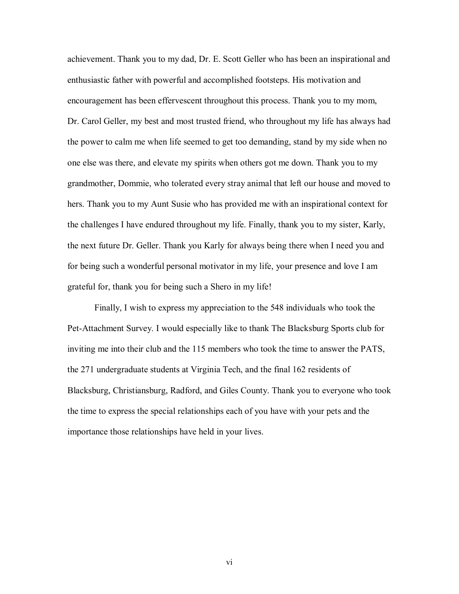achievement. Thank you to my dad, Dr. E. Scott Geller who has been an inspirational and enthusiastic father with powerful and accomplished footsteps. His motivation and encouragement has been effervescent throughout this process. Thank you to my mom, Dr. Carol Geller, my best and most trusted friend, who throughout my life has always had the power to calm me when life seemed to get too demanding, stand by my side when no one else was there, and elevate my spirits when others got me down. Thank you to my grandmother, Dommie, who tolerated every stray animal that left our house and moved to hers. Thank you to my Aunt Susie who has provided me with an inspirational context for the challenges I have endured throughout my life. Finally, thank you to my sister, Karly, the next future Dr. Geller. Thank you Karly for always being there when I need you and for being such a wonderful personal motivator in my life, your presence and love I am grateful for, thank you for being such a Shero in my life!

 Finally, I wish to express my appreciation to the 548 individuals who took the Pet-Attachment Survey. I would especially like to thank The Blacksburg Sports club for inviting me into their club and the 115 members who took the time to answer the PATS, the 271 undergraduate students at Virginia Tech, and the final 162 residents of Blacksburg, Christiansburg, Radford, and Giles County. Thank you to everyone who took the time to express the special relationships each of you have with your pets and the importance those relationships have held in your lives.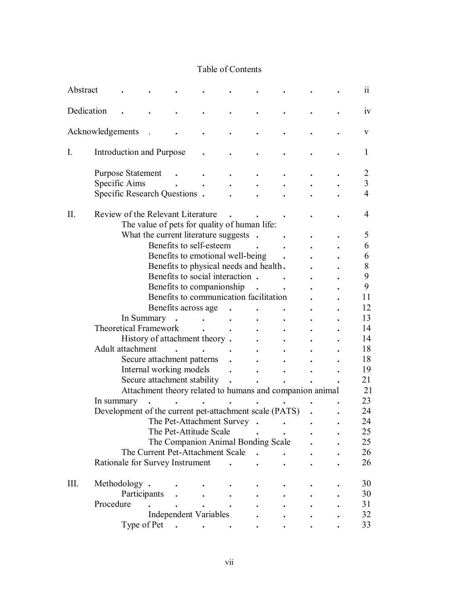## Table of Contents

| Abstract   |                                                        |                                                          |                                        |  |  |  | 11             |
|------------|--------------------------------------------------------|----------------------------------------------------------|----------------------------------------|--|--|--|----------------|
| Dedication |                                                        |                                                          |                                        |  |  |  | 1V             |
|            | Acknowledgements                                       |                                                          |                                        |  |  |  | V              |
| I.         | Introduction and Purpose                               |                                                          |                                        |  |  |  | L              |
|            | <b>Purpose Statement</b>                               |                                                          |                                        |  |  |  | 2              |
|            | Specific Aims                                          |                                                          |                                        |  |  |  | 3              |
|            | Specific Research Questions.                           |                                                          |                                        |  |  |  | $\overline{4}$ |
| Π.         | Review of the Relevant Literature                      |                                                          |                                        |  |  |  | 4              |
|            |                                                        | The value of pets for quality of human life:             |                                        |  |  |  |                |
|            |                                                        | What the current literature suggests .                   |                                        |  |  |  | 5              |
|            |                                                        |                                                          | Benefits to self-esteem                |  |  |  | 6              |
|            |                                                        |                                                          | Benefits to emotional well-being       |  |  |  | 6              |
|            |                                                        |                                                          | Benefits to physical needs and health. |  |  |  | 8              |
|            |                                                        |                                                          | Benefits to social interaction.        |  |  |  | 9              |
|            |                                                        |                                                          | Benefits to companionship              |  |  |  | 9              |
|            |                                                        |                                                          | Benefits to communication facilitation |  |  |  | 11             |
|            |                                                        |                                                          | Benefits across age                    |  |  |  | 12             |
|            |                                                        |                                                          |                                        |  |  |  | 13             |
|            | In Summary                                             |                                                          |                                        |  |  |  |                |
|            | <b>Theoretical Framework</b>                           |                                                          |                                        |  |  |  | 14             |
|            |                                                        | History of attachment theory.                            |                                        |  |  |  | 14             |
|            | Adult attachment                                       |                                                          |                                        |  |  |  | 18             |
|            |                                                        | Secure attachment patterns                               |                                        |  |  |  | 18             |
|            |                                                        | Internal working models                                  |                                        |  |  |  | 19             |
|            |                                                        | Secure attachment stability                              |                                        |  |  |  | 21             |
|            |                                                        | Attachment theory related to humans and companion animal |                                        |  |  |  | 21             |
|            | In summary                                             |                                                          |                                        |  |  |  | 23             |
|            | Development of the current pet-attachment scale (PATS) |                                                          |                                        |  |  |  | 24             |
|            |                                                        |                                                          | The Pet-Attachment Survey              |  |  |  | 24             |
|            |                                                        |                                                          | The Pet-Attitude Scale                 |  |  |  | 25             |
|            |                                                        |                                                          | The Companion Animal Bonding Scale     |  |  |  | 25             |
|            |                                                        | The Current Pet-Attachment Scale                         |                                        |  |  |  | 26             |
|            |                                                        |                                                          |                                        |  |  |  |                |
|            | Rationale for Survey Instrument                        |                                                          |                                        |  |  |  | 26             |
| III.       | Methodology.                                           |                                                          |                                        |  |  |  | 30             |
|            | Participants                                           |                                                          |                                        |  |  |  | 30             |
|            | Procedure                                              |                                                          |                                        |  |  |  | 31             |
|            |                                                        |                                                          | Independent Variables                  |  |  |  | 32             |
|            |                                                        |                                                          |                                        |  |  |  |                |
|            | Type of Pet                                            |                                                          |                                        |  |  |  | 33             |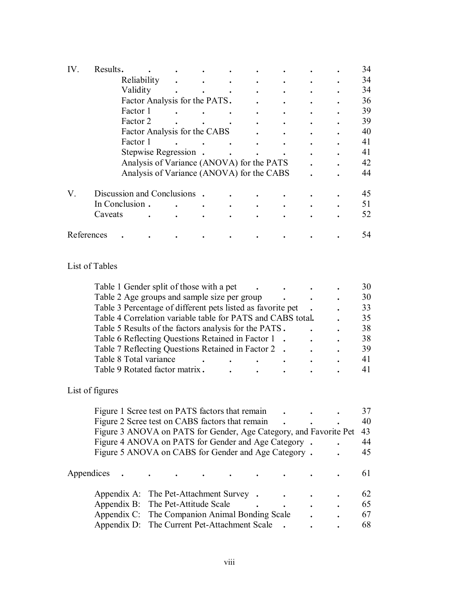| IV. | Results.       |                                           |  |  |  | 34 |
|-----|----------------|-------------------------------------------|--|--|--|----|
|     |                | Reliability                               |  |  |  | 34 |
|     |                | Validity                                  |  |  |  | 34 |
|     |                | Factor Analysis for the PATS.             |  |  |  | 36 |
|     |                | Factor 1                                  |  |  |  | 39 |
|     |                | Factor 2                                  |  |  |  | 39 |
|     |                | Factor Analysis for the CABS              |  |  |  | 40 |
|     |                | Factor 1                                  |  |  |  | 41 |
|     |                | Stepwise Regression.                      |  |  |  | 41 |
|     |                | Analysis of Variance (ANOVA) for the PATS |  |  |  | 42 |
|     |                | Analysis of Variance (ANOVA) for the CABS |  |  |  | 44 |
|     |                |                                           |  |  |  |    |
| V.  |                | Discussion and Conclusions                |  |  |  | 45 |
|     |                | In Conclusion.                            |  |  |  | 51 |
|     | Caveats        |                                           |  |  |  | 52 |
|     | References     |                                           |  |  |  | 54 |
|     |                |                                           |  |  |  |    |
|     | List of Tables |                                           |  |  |  |    |

| Table 1 Gender split of those with a pet                    |   | 30 |
|-------------------------------------------------------------|---|----|
| Table 2 Age groups and sample size per group                |   | 30 |
| Table 3 Percentage of different pets listed as favorite pet |   | 33 |
| Table 4 Correlation variable table for PATS and CABS total. |   | 35 |
| Table 5 Results of the factors analysis for the PATS.       |   | 38 |
| Table 6 Reflecting Questions Retained in Factor 1           |   | 38 |
| Table 7 Reflecting Questions Retained in Factor 2           |   | 39 |
| Table 8 Total variance                                      | ٠ | 41 |
| Table 9 Rotated factor matrix.                              |   |    |

# List of figures

| Figure 1 Scree test on PATS factors that remain                   |  |  |  |  |    |
|-------------------------------------------------------------------|--|--|--|--|----|
| Figure 2 Scree test on CABS factors that remain                   |  |  |  |  | 40 |
| Figure 3 ANOVA on PATS for Gender, Age Category, and Favorite Pet |  |  |  |  | 43 |
| Figure 4 ANOVA on PATS for Gender and Age Category.               |  |  |  |  | 44 |
| Figure 5 ANOVA on CABS for Gender and Age Category.               |  |  |  |  | 45 |
|                                                                   |  |  |  |  |    |
| Appendices                                                        |  |  |  |  | 61 |
|                                                                   |  |  |  |  |    |
| Appendix A: The Pet-Attachment Survey.                            |  |  |  |  | 62 |
| Appendix B: The Pet-Attitude Scale                                |  |  |  |  | 65 |
| Appendix C: The Companion Animal Bonding Scale                    |  |  |  |  | 67 |
| Appendix D: The Current Pet-Attachment Scale                      |  |  |  |  | 68 |